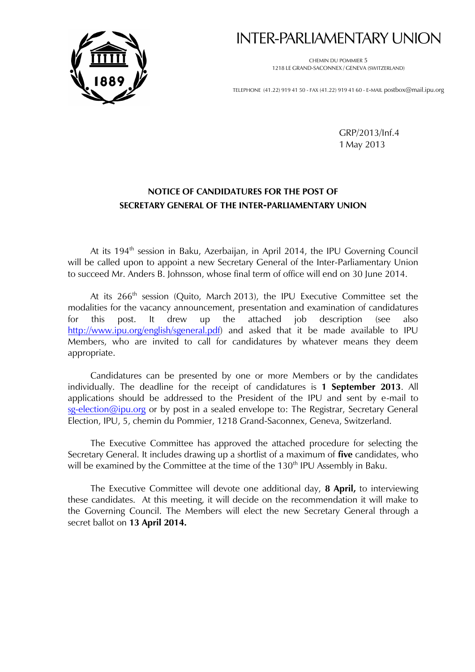

# INTER-PARLIAMENTARY UNION

CHEMIN DU POMMIER 5 1218 LE GRAND-SACONNEX / GENEVA (SWITZERLAND)

TELEPHONE (41.22) 919 41 50 - FAX (41.22) 919 41 60 - E-MAIL postbox@mail.ipu.org

GRP/2013/Inf.4 1 May 2013

## **NOTICE OF CANDIDATURES FOR THE POST OF SECRETARY GENERAL OF THE INTER-PARLIAMENTARY UNION**

At its 194<sup>th</sup> session in Baku, Azerbaijan, in April 2014, the IPU Governing Council will be called upon to appoint a new Secretary General of the Inter-Parliamentary Union to succeed Mr. Anders B. Johnsson, whose final term of office will end on 30 June 2014.

At its 266<sup>th</sup> session (Quito, March 2013), the IPU Executive Committee set the modalities for the vacancy announcement, presentation and examination of candidatures for this post. It drew up the attached job description (see also [http://www.ipu.org/english/sgeneral.pdf\)](http://www.ipu.org/english/sgeneral.pdf) and asked that it be made available to IPU Members, who are invited to call for candidatures by whatever means they deem appropriate.

Candidatures can be presented by one or more Members or by the candidates individually. The deadline for the receipt of candidatures is **1 September 2013**. All applications should be addressed to the President of the IPU and sent by e-mail to [sg-election@ipu.org](mailto:sg%1Eelection@ipu.org) or by post in a sealed envelope to: The Registrar, Secretary General Election, IPU, 5, chemin du Pommier, 1218 Grand-Saconnex, Geneva, Switzerland.

The Executive Committee has approved the attached procedure for selecting the Secretary General. It includes drawing up a shortlist of a maximum of **five** candidates, who will be examined by the Committee at the time of the 130<sup>th</sup> IPU Assembly in Baku.

The Executive Committee will devote one additional day, **8 April,** to interviewing these candidates. At this meeting, it will decide on the recommendation it will make to the Governing Council. The Members will elect the new Secretary General through a secret ballot on **13 April 2014.**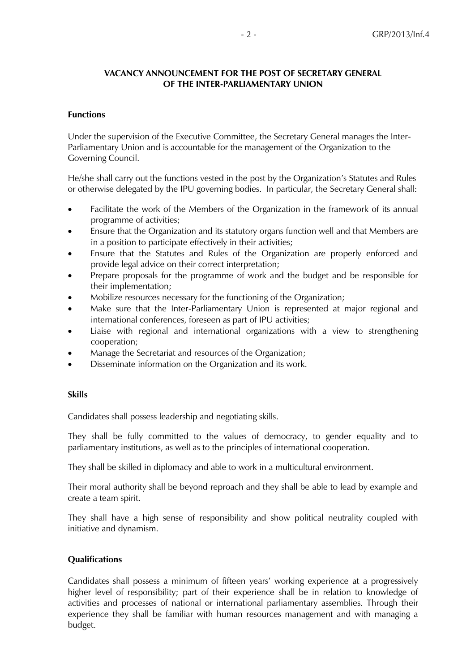## **VACANCY ANNOUNCEMENT FOR THE POST OF SECRETARY GENERAL OF THE INTER-PARLIAMENTARY UNION**

### **Functions**

Under the supervision of the Executive Committee, the Secretary General manages the Inter-Parliamentary Union and is accountable for the management of the Organization to the Governing Council.

He/she shall carry out the functions vested in the post by the Organization's Statutes and Rules or otherwise delegated by the IPU governing bodies. In particular, the Secretary General shall:

- Facilitate the work of the Members of the Organization in the framework of its annual programme of activities;
- Ensure that the Organization and its statutory organs function well and that Members are in a position to participate effectively in their activities;
- Ensure that the Statutes and Rules of the Organization are properly enforced and provide legal advice on their correct interpretation;
- Prepare proposals for the programme of work and the budget and be responsible for their implementation;
- Mobilize resources necessary for the functioning of the Organization;
- Make sure that the Inter-Parliamentary Union is represented at major regional and international conferences, foreseen as part of IPU activities;
- Liaise with regional and international organizations with a view to strengthening cooperation;
- Manage the Secretariat and resources of the Organization;
- Disseminate information on the Organization and its work.

## **Skills**

Candidates shall possess leadership and negotiating skills.

They shall be fully committed to the values of democracy, to gender equality and to parliamentary institutions, as well as to the principles of international cooperation.

They shall be skilled in diplomacy and able to work in a multicultural environment.

Their moral authority shall be beyond reproach and they shall be able to lead by example and create a team spirit.

They shall have a high sense of responsibility and show political neutrality coupled with initiative and dynamism.

## **Qualifications**

Candidates shall possess a minimum of fifteen years' working experience at a progressively higher level of responsibility; part of their experience shall be in relation to knowledge of activities and processes of national or international parliamentary assemblies. Through their experience they shall be familiar with human resources management and with managing a budget.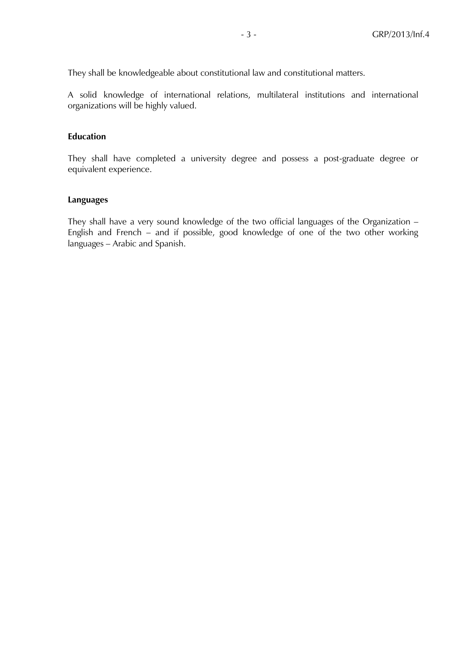They shall be knowledgeable about constitutional law and constitutional matters.

A solid knowledge of international relations, multilateral institutions and international organizations will be highly valued.

## **Education**

They shall have completed a university degree and possess a post-graduate degree or equivalent experience.

#### **Languages**

They shall have a very sound knowledge of the two official languages of the Organization – English and French – and if possible, good knowledge of one of the two other working languages – Arabic and Spanish.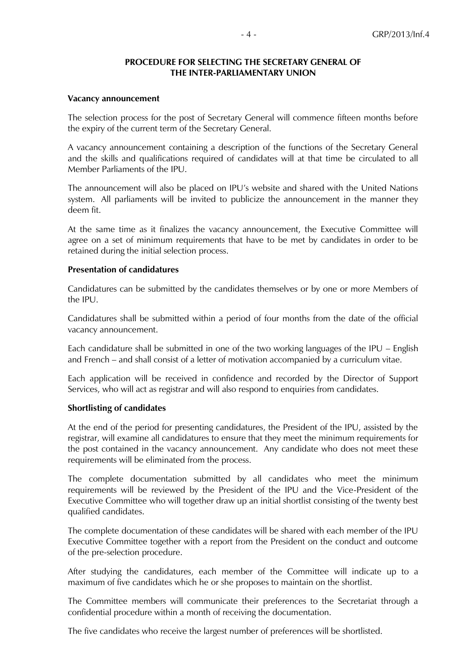#### **PROCEDURE FOR SELECTING THE SECRETARY GENERAL OF THE INTER-PARLIAMENTARY UNION**

#### **Vacancy announcement**

The selection process for the post of Secretary General will commence fifteen months before the expiry of the current term of the Secretary General.

A vacancy announcement containing a description of the functions of the Secretary General and the skills and qualifications required of candidates will at that time be circulated to all Member Parliaments of the IPU.

The announcement will also be placed on IPU's website and shared with the United Nations system. All parliaments will be invited to publicize the announcement in the manner they deem fit.

At the same time as it finalizes the vacancy announcement, the Executive Committee will agree on a set of minimum requirements that have to be met by candidates in order to be retained during the initial selection process.

#### **Presentation of candidatures**

Candidatures can be submitted by the candidates themselves or by one or more Members of the IPU.

Candidatures shall be submitted within a period of four months from the date of the official vacancy announcement.

Each candidature shall be submitted in one of the two working languages of the IPU – English and French – and shall consist of a letter of motivation accompanied by a curriculum vitae.

Each application will be received in confidence and recorded by the Director of Support Services, who will act as registrar and will also respond to enquiries from candidates.

#### **Shortlisting of candidates**

At the end of the period for presenting candidatures, the President of the IPU, assisted by the registrar, will examine all candidatures to ensure that they meet the minimum requirements for the post contained in the vacancy announcement. Any candidate who does not meet these requirements will be eliminated from the process.

The complete documentation submitted by all candidates who meet the minimum requirements will be reviewed by the President of the IPU and the Vice-President of the Executive Committee who will together draw up an initial shortlist consisting of the twenty best qualified candidates.

The complete documentation of these candidates will be shared with each member of the IPU Executive Committee together with a report from the President on the conduct and outcome of the pre-selection procedure.

After studying the candidatures, each member of the Committee will indicate up to a maximum of five candidates which he or she proposes to maintain on the shortlist.

The Committee members will communicate their preferences to the Secretariat through a confidential procedure within a month of receiving the documentation.

The five candidates who receive the largest number of preferences will be shortlisted.